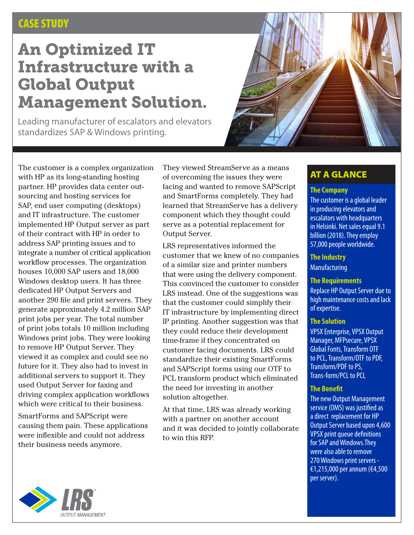## CASE STUDY

# An Optimized IT Infrastructure with a Global Output Management Solution.

Leading manufacturer of escalators and elevators standardizes SAP & Windows printing.



The customer is a complex organization with HP as its long-standing hosting partner. HP provides data center outsourcing and hosting services for SAP, end user computing (desktops) and IT infrastructure. The customer implemented HP Output server as part of their contract with HP in order to address SAP printing issues and to integrate a number of critical application workflow processes. The organization houses 10,000 SAP users and 18,000 Windows desktop users. It has three dedicated HP Output Servers and another 290 file and print servers. They generate approximately 4.2 million SAP print jobs per year. The total number of print jobs totals 10 million including Windows print jobs. They were looking to remove HP Output Server. They viewed it as complex and could see no future for it. They also had to invest in additional servers to support it. They used Output Server for faxing and driving complex application workflows which were critical to their business.

SmartForms and SAPScript were causing them pain. These applications were inflexible and could not address their business needs anymore.

They viewed StreamServe as a means of overcoming the issues they were facing and wanted to remove SAPScript and SmartForms completely. They had learned that StreamServe has a delivery component which they thought could serve as a potential replacement for Output Server.

LRS representatives informed the customer that we knew of no companies of a similar size and printer numbers that were using the delivery component. This convinced the customer to consider LRS instead. One of the suggestions was that the customer could simplify their IT infrastructure by implementing direct IP printing. Another suggestion was that they could reduce their development time-frame if they concentrated on customer facing documents. LRS could standardize their existing SmartForms and SAPScript forms using our OTF to PCL transform product which eliminated the need for investing in another solution altogether.

At that time, LRS was already working with a partner on another account and it was decided to jointly collaborate to win this RFP.

## AT A GLANCE

## **The Company**

The customer is a global leader in producing elevators and escalators with headquarters in Helsinki. Net sales equal 9.1 billion (2018). They employ 57,000 people worldwide.

## **The Industry**

Manufacturing

#### **The Requirements**

Replace HP Output Server due to high maintenance costs and lack of expertise.

#### **The Solution**

VPSX Enterprise, VPSX Output Manager, MFPsecure, VPSX Global Fonts, Transform OTF to PCL, Transform/OTF to PDF, Transform/PDF to PS, Trans-form/PCL to PCL

#### **The Benefit**

The new Output Management service (OMS) was justified as a direct replacement for HP Output Server based upon 4,600 VPSX print queue definitions for SAP and Windows.They were also able to remove 270 Windows print servers - €1,215,000 per annum (€4,500 per server).